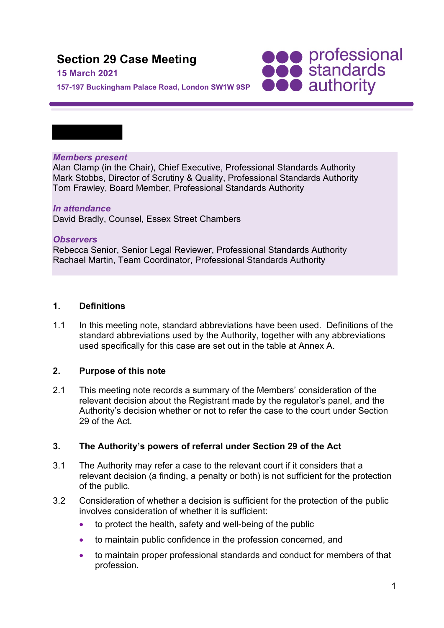# **Section 29 Case Meeting**

#### **15 March 2021**

**157-197 Buckingham Palace Road, London SW1W 9SP**

#### *Members present*

Alan Clamp (in the Chair), Chief Executive, Professional Standards Authority Mark Stobbs, Director of Scrutiny & Quality, Professional Standards Authority Tom Frawley, Board Member, Professional Standards Authority

**SOO professional**<br> **SOO standards**<br> **OOO** authority

#### *In attendance* David Bradly, Counsel, Essex Street Chambers

#### *Observers*

Rebecca Senior, Senior Legal Reviewer, Professional Standards Authority Rachael Martin, Team Coordinator, Professional Standards Authority

#### **1. Definitions**

1.1 In this meeting note, standard abbreviations have been used. Definitions of the standard abbreviations used by the Authority, together with any abbreviations used specifically for this case are set out in the table at Annex A.

### **2. Purpose of this note**

2.1 This meeting note records a summary of the Members' consideration of the relevant decision about the Registrant made by the regulator's panel, and the Authority's decision whether or not to refer the case to the court under Section 29 of the Act.

### **3. The Authority's powers of referral under Section 29 of the Act**

- 3.1 The Authority may refer a case to the relevant court if it considers that a relevant decision (a finding, a penalty or both) is not sufficient for the protection of the public.
- 3.2 Consideration of whether a decision is sufficient for the protection of the public involves consideration of whether it is sufficient:
	- to protect the health, safety and well-being of the public
	- to maintain public confidence in the profession concerned, and
	- to maintain proper professional standards and conduct for members of that profession.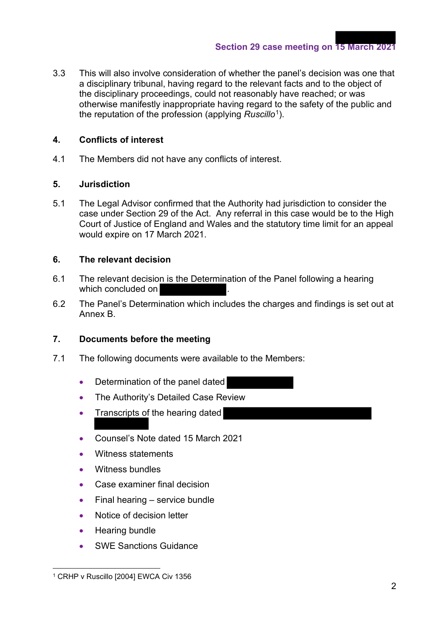3.3 This will also involve consideration of whether the panel's decision was one that a disciplinary tribunal, having regard to the relevant facts and to the object of the disciplinary proceedings, could not reasonably have reached; or was otherwise manifestly inappropriate having regard to the safety of the public and the reputation of the profession (applying *Ruscillo*1).

### **4. Conflicts of interest**

4.1 The Members did not have any conflicts of interest.

#### **5. Jurisdiction**

5.1 The Legal Advisor confirmed that the Authority had jurisdiction to consider the case under Section 29 of the Act. Any referral in this case would be to the High Court of Justice of England and Wales and the statutory time limit for an appeal would expire on 17 March 2021.

#### **6. The relevant decision**

- 6.1 The relevant decision is the Determination of the Panel following a hearing which concluded on
- 6.2 The Panel's Determination which includes the charges and findings is set out at Annex B.

## **7. Documents before the meeting**

- 7.1 The following documents were available to the Members:
	- Determination of the panel dated
	- The Authority's Detailed Case Review
	- Transcripts of the hearing dated
	- Counsel's Note dated 15 March 2021
	- Witness statements
	- Witness bundles
	- Case examiner final decision
	- Final hearing service bundle
	- Notice of decision letter
	- Hearing bundle
	- **SWE Sanctions Guidance**

<sup>1</sup> CRHP v Ruscillo [2004] EWCA Civ 1356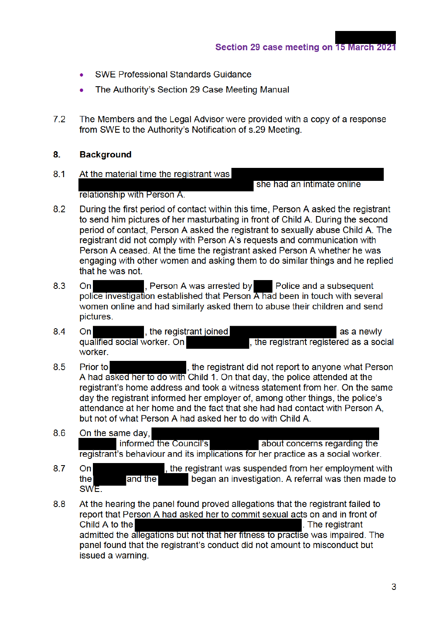- **SWE Professional Standards Guidance**
- The Authority's Section 29 Case Meeting Manual  $\bullet$
- $7.2$ The Members and the Legal Advisor were provided with a copy of a response from SWE to the Authority's Notification of s.29 Meeting.

#### 8. **Background**

- $8.1$ At the material time the registrant was she had an intimate online relationship with Person A.
- $8.2$ During the first period of contact within this time. Person A asked the registrant to send him pictures of her masturbating in front of Child A. During the second period of contact, Person A asked the registrant to sexually abuse Child A. The registrant did not comply with Person A's requests and communication with Person A ceased. At the time the registrant asked Person A whether he was engaging with other women and asking them to do similar things and he replied that he was not.
- 8.3  $On$ , Person A was arrested by Police and a subsequent police investigation established that Person A had been in touch with several women online and had similarly asked them to abuse their children and send pictures.
- 8.4 the registrant joined  $On$ as a newly qualified social worker. On , the registrant registered as a social worker.
- 8.5 Prior to , the registrant did not report to anyone what Person A had asked her to do with Child 1. On that day, the police attended at the registrant's home address and took a witness statement from her. On the same day the registrant informed her employer of, among other things, the police's attendance at her home and the fact that she had had contact with Person A. but not of what Person A had asked her to do with Child A.
- 8.6 On the same day, informed the Council's about concerns regarding the registrant's behaviour and its implications for her practice as a social worker.
- 8.7 the registrant was suspended from her employment with On began an investigation. A referral was then made to the and the SWE.
- 8.8 At the hearing the panel found proved allegations that the registrant failed to report that Person A had asked her to commit sexual acts on and in front of Child A to the . The registrant admitted the allegations but not that her fitness to practise was impaired. The panel found that the registrant's conduct did not amount to misconduct but issued a warning.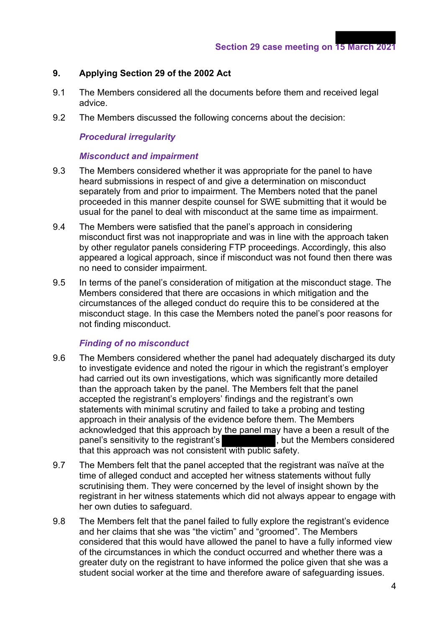#### **9. Applying Section 29 of the 2002 Act**

- 9.1 The Members considered all the documents before them and received legal advice.
- 9.2 The Members discussed the following concerns about the decision:

#### *Procedural irregularity*

#### *Misconduct and impairment*

- 9.3 The Members considered whether it was appropriate for the panel to have heard submissions in respect of and give a determination on misconduct separately from and prior to impairment. The Members noted that the panel proceeded in this manner despite counsel for SWE submitting that it would be usual for the panel to deal with misconduct at the same time as impairment.
- 9.4 The Members were satisfied that the panel's approach in considering misconduct first was not inappropriate and was in line with the approach taken by other regulator panels considering FTP proceedings. Accordingly, this also appeared a logical approach, since if misconduct was not found then there was no need to consider impairment.
- 9.5 In terms of the panel's consideration of mitigation at the misconduct stage. The Members considered that there are occasions in which mitigation and the circumstances of the alleged conduct do require this to be considered at the misconduct stage. In this case the Members noted the panel's poor reasons for not finding misconduct.

#### *Finding of no misconduct*

- 9.6 The Members considered whether the panel had adequately discharged its duty to investigate evidence and noted the rigour in which the registrant's employer had carried out its own investigations, which was significantly more detailed than the approach taken by the panel. The Members felt that the panel accepted the registrant's employers' findings and the registrant's own statements with minimal scrutiny and failed to take a probing and testing approach in their analysis of the evidence before them. The Members acknowledged that this approach by the panel may have a been a result of the panel's sensitivity to the registrant's panel's sensitivity to the registrant's that this approach was not consistent with public safety.
- 9.7 The Members felt that the panel accepted that the registrant was naïve at the time of alleged conduct and accepted her witness statements without fully scrutinising them. They were concerned by the level of insight shown by the registrant in her witness statements which did not always appear to engage with her own duties to safeguard.
- 9.8 The Members felt that the panel failed to fully explore the registrant's evidence and her claims that she was "the victim" and "groomed". The Members considered that this would have allowed the panel to have a fully informed view of the circumstances in which the conduct occurred and whether there was a greater duty on the registrant to have informed the police given that she was a student social worker at the time and therefore aware of safeguarding issues.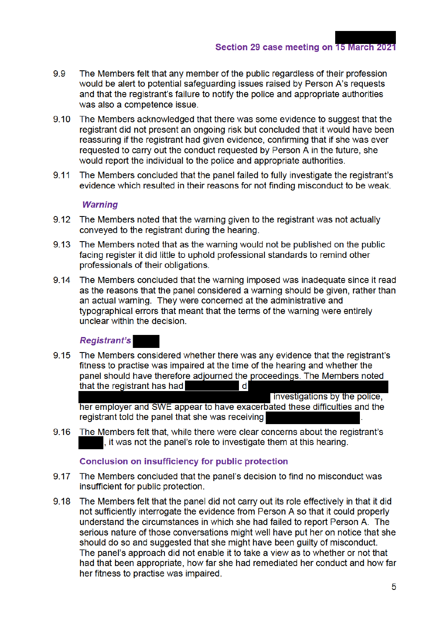- 99 The Members felt that any member of the public regardless of their profession would be alert to potential safeguarding issues raised by Person A's requests and that the registrant's failure to notify the police and appropriate authorities was also a competence issue.
- The Members acknowledged that there was some evidence to suggest that the  $9.10$ registrant did not present an ongoing risk but concluded that it would have been reassuring if the registrant had given evidence, confirming that if she was ever requested to carry out the conduct requested by Person A in the future, she would report the individual to the police and appropriate authorities.
- The Members concluded that the panel failed to fully investigate the registrant's  $9.11$ evidence which resulted in their reasons for not finding misconduct to be weak.

#### **Warning**

- The Members noted that the warning given to the registrant was not actually  $9.12$ conveyed to the registrant during the hearing.
- 9.13 The Members noted that as the warning would not be published on the public facing register it did little to uphold professional standards to remind other professionals of their obligations.
- $9.14$ The Members concluded that the warning imposed was inadequate since it read as the reasons that the panel considered a warning should be given, rather than an actual warning. They were concerned at the administrative and typographical errors that meant that the terms of the warning were entirely unclear within the decision.

#### **Registrant's**

9.15 The Members considered whether there was any evidence that the registrant's fitness to practise was impaired at the time of the hearing and whether the panel should have therefore adjourned the proceedings. The Members noted  $\mathbf d$ that the registrant has had

investigations by the police. her employer and SWE appear to have exacerbated these difficulties and the registrant told the panel that she was receiving

9.16 The Members felt that, while there were clear concerns about the registrant's , it was not the panel's role to investigate them at this hearing.

#### **Conclusion on insufficiency for public protection**

- $9.17$ The Members concluded that the panel's decision to find no misconduct was insufficient for public protection.
- 9.18 The Members felt that the panel did not carry out its role effectively in that it did not sufficiently interrogate the evidence from Person A so that it could properly understand the circumstances in which she had failed to report Person A. The serious nature of those conversations might well have put her on notice that she should do so and suggested that she might have been guilty of misconduct. The panel's approach did not enable it to take a view as to whether or not that had that been appropriate, how far she had remediated her conduct and how far her fitness to practise was impaired.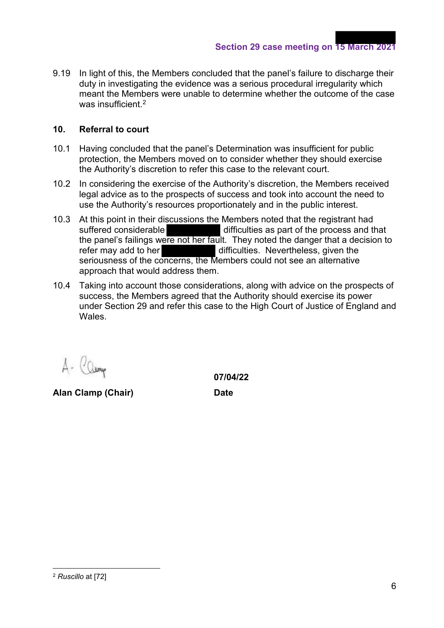9.19 In light of this, the Members concluded that the panel's failure to discharge their duty in investigating the evidence was a serious procedural irregularity which meant the Members were unable to determine whether the outcome of the case was insufficient.<sup>2</sup>

#### **10. Referral to court**

- 10.1 Having concluded that the panel's Determination was insufficient for public protection, the Members moved on to consider whether they should exercise the Authority's discretion to refer this case to the relevant court.
- 10.2 In considering the exercise of the Authority's discretion, the Members received legal advice as to the prospects of success and took into account the need to use the Authority's resources proportionately and in the public interest.
- 10.3 At this point in their discussions the Members noted that the registrant had suffered considerable difficulties as part of the process and that the panel's failings were not her fault. They noted the danger that a decision to refer may add to her difficulties. Nevertheless, given the seriousness of the concerns, the Members could not see an alternative approach that would address them.
- 10.4 Taking into account those considerations, along with advice on the prospects of success, the Members agreed that the Authority should exercise its power under Section 29 and refer this case to the High Court of Justice of England and **Wales**

**Alan Clamp (Chair) Date**

 **07/04/22**

<sup>2</sup> *Ruscillo* at [72]